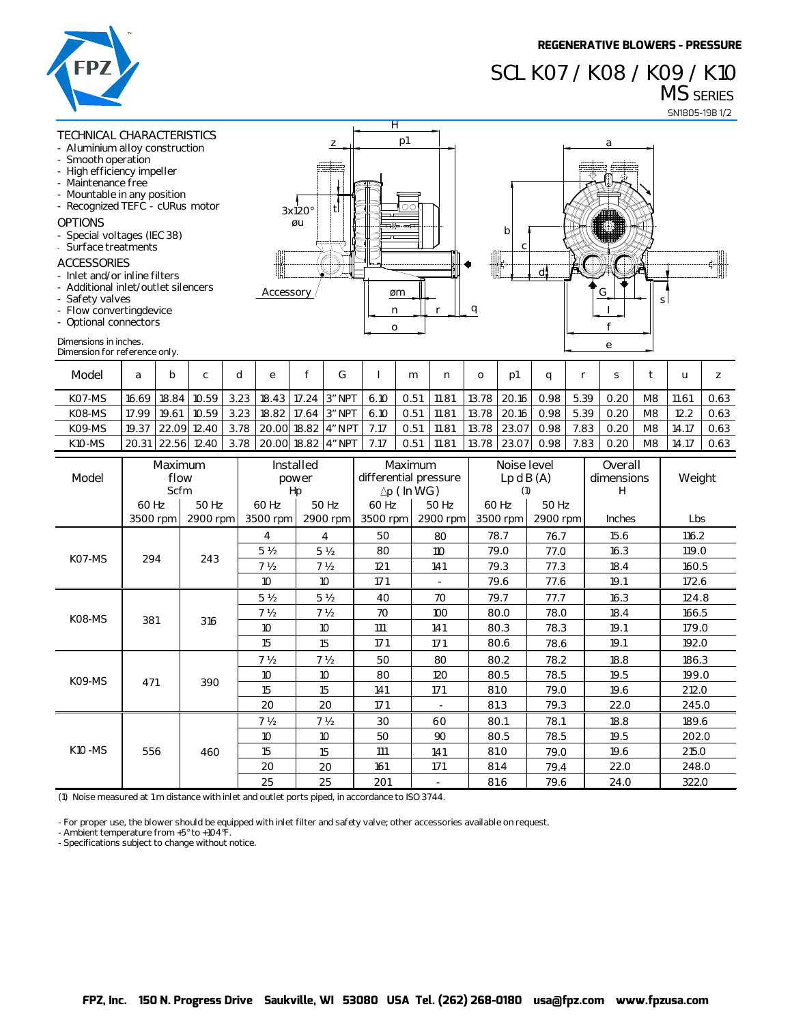## **SCL K07 / K08 / K09 / K10 MS SERIES**



## **TECHNICAL CHARACTERISTICS**

- **- Aluminium alloy construction - Smooth operation**
- 
- **High efficiency impeller**
- **- Maintenance free**
- **- Mountable in any position**
- **- Recognized TEFC cURus motor**

### **OPTIONS**

- **- Special voltages (IEC 38)**
- **- Surface treatments**

#### **ACCESSORIES**

- **- Inlet and/or inline filters**
- **-** Additional inlet/outlet silend
- **- Safety valves**
- **- Flow converting device**
- **- Optional connectors**

#### **Dimensions in inches.**

| notor | tl<br>3x120°<br>øu<br>.<br><br>-----    | 71<br>OС<br>÷<br>-           | b<br>C              |
|-------|-----------------------------------------|------------------------------|---------------------|
| cers  | -------------------<br><b>Accessory</b> | øm<br>o<br>n<br>$\mathbf{o}$ | <u>_a</u><br>------ |



| Model         | a             | b           | ◠     | е |                                             |      | m    | n     | 0             | D1          |      |      |      |    |       |      |
|---------------|---------------|-------------|-------|---|---------------------------------------------|------|------|-------|---------------|-------------|------|------|------|----|-------|------|
| KO7-MS        |               | 16.69 18.84 | 10.59 |   | 3.23 18.43 17.24 3″ NPT                     | 6.10 | 0.51 | 11.81 | 13.78   20.16 |             | 0.98 | 5.39 | 0.20 | M8 | 11.61 | 0.63 |
| K08-MS        | 17.99   19.61 |             | 10.59 |   | 3.23 18.82 17.64 3″ NPT                     | 6.10 | 0.51 | 11.81 | 13.78 20.16   |             | 0.98 | 5.39 | 0.20 | M8 |       | 0.63 |
| KO9-MS        |               |             |       |   | 19.37 22.09 12.40 3.78 20.00 18.82 4″ NPT I | 7.17 | 0.51 | 11.81 | 13.78 23.07   |             | 0.98 | 7.83 | 0.20 | M8 | 14.17 | 0.63 |
| <b>K10-MS</b> |               | 20.31 22.56 |       |   | 12.40 3.78 20.00 18.82 4″ NPT               | 7.17 | 0.51 | 11.81 |               | 13.78 23.07 | 0.98 | 7.83 | 0.20 | M8 | 14.17 | 0.63 |

| FPZ                                                                                                                                                                                                                                                                                                                                                                                                                                                          |                                           |       |                                                    |                                                                      |                                                    |                                                            |                                         |                                                                          |                                                        |                                                                                     |                                  |                                         |                                      |                              | <b>REGENERATIVE BLOWERS - PRESSURE</b><br>SCL KO7 / KO8 / KO9 / K10 |                                  | <b>MS</b> SERIES                          | SN1805-19B 1/2               |  |
|--------------------------------------------------------------------------------------------------------------------------------------------------------------------------------------------------------------------------------------------------------------------------------------------------------------------------------------------------------------------------------------------------------------------------------------------------------------|-------------------------------------------|-------|----------------------------------------------------|----------------------------------------------------------------------|----------------------------------------------------|------------------------------------------------------------|-----------------------------------------|--------------------------------------------------------------------------|--------------------------------------------------------|-------------------------------------------------------------------------------------|----------------------------------|-----------------------------------------|--------------------------------------|------------------------------|---------------------------------------------------------------------|----------------------------------|-------------------------------------------|------------------------------|--|
| TECHNICAL CHARACTERISTICS<br>- Aluminium alloy construction<br>Smooth operation<br>High efficiency impeller<br>Maintenance free<br>Mountable in any position<br>- Recognized TEFC - cURus motor<br><b>OPTIONS</b><br>Special voltages (IEC 38)<br>Surface treatments<br><b>ACCESSORIES</b><br>Inlet and/or inline filters<br>Additional inlet/outlet silencers<br>Safety valves<br>- Flow convertingdevice<br>- Optional connectors<br>Dimensions in inches. |                                           |       |                                                    |                                                                      | Accessory                                          | 3x120°<br>ØU                                               | z<br>tl                                 | Η<br>n<br>O                                                              | p1<br>OС<br>øm                                         | r                                                                                   | q                                | b<br>C                                  |                                      |                              | a<br>G<br>f<br>e                                                    | S                                |                                           |                              |  |
| Dimension for reference only.<br>Model                                                                                                                                                                                                                                                                                                                                                                                                                       | a                                         | b     | c                                                  | d                                                                    | ${\bf e}$                                          | f                                                          | G                                       | $\mathbf{I}$                                                             | m                                                      | n                                                                                   | o                                | p1                                      |                                      | r                            | S                                                                   | t                                | u                                         | z                            |  |
| K07-MS<br>K08-MS<br>K09-MS<br><b>K10-MS</b>                                                                                                                                                                                                                                                                                                                                                                                                                  | 16.69 18.84<br>17.99<br>19.37             | 19.61 | 10.59<br>10.59<br>22.09 12.40<br>20.31 22.56 12.40 | 3.23<br>3.23<br>3.78<br>3.78                                         | 18.43<br>18.82                                     | 17.24<br>17.64<br>20.00 18.82 4" NPT<br>20.00 18.82 4" NPT | 3" NPT<br>3" NPT                        | 6.10<br>6.10<br>7.17<br>7.17                                             | 0.51<br>0.51<br>0.51<br>0.51                           | 11.81<br>11.81<br>11.81<br>11.81                                                    | 13.78<br>13.78<br>13.78<br>13.78 | 20.16<br>20.16<br>23.07<br>23.07        | q<br>0.98<br>0.98<br>0.98<br>0.98    | 5.39<br>5.39<br>7.83<br>7.83 | 0.20<br>0.20<br>0.20<br>0.20                                        | M8<br>M8<br>M8<br>M8             | 11.61<br>12.2<br>14.17<br>14.17           | 0.63<br>0.63<br>0.63<br>0.63 |  |
| Model                                                                                                                                                                                                                                                                                                                                                                                                                                                        | Maximum<br>flow<br>Scfm<br>50 Hz<br>60 Hz |       |                                                    |                                                                      | Installed<br>power<br>Hp<br>60 Hz<br>50 Hz         |                                                            |                                         | Maximum<br>differential pressure<br>$\Delta p$ (In WG)<br>60 Hz<br>50 Hz |                                                        |                                                                                     |                                  | Noise level<br>Lp dB(A)<br>(1)<br>60 Hz |                                      | 50 Hz                        | Overall<br>dimensions<br>н                                          |                                  |                                           | Weight                       |  |
| 2900 rpm<br>3500 rpm                                                                                                                                                                                                                                                                                                                                                                                                                                         |                                           |       | 3500 rpm                                           | 2900 rpm                                                             |                                                    | 3500 rpm                                                   |                                         | 2900 rpm                                                                 | 3500 rpm                                               |                                                                                     | 2900 rpm                         |                                         | Inches                               |                              | Lbs                                                                 |                                  |                                           |                              |  |
| K07-MS                                                                                                                                                                                                                                                                                                                                                                                                                                                       | 294                                       |       | 243                                                |                                                                      | 4<br>5 <sub>2</sub><br>7 <sub>2</sub>              |                                                            | 4<br>5 <sub>2</sub><br>7 <sub>2</sub>   | 50<br>80<br>121                                                          |                                                        | 80<br>110<br>141                                                                    |                                  | 78.7<br>79.0<br>79.3                    | 76.7<br>77.0<br>77.3                 |                              | 15.6<br>16.3<br>18.4                                                |                                  | 116.2<br>119.0<br>160.5                   |                              |  |
| K08-MS                                                                                                                                                                                                                                                                                                                                                                                                                                                       | 381                                       |       | 316                                                |                                                                      | 10<br>5 <sub>2</sub><br>7 <sub>2</sub><br>10<br>15 |                                                            | 10<br>5 <sub>2</sub><br>7 ½<br>10<br>15 | 171<br>40<br>70<br>111<br>171                                            |                                                        | $\overline{\phantom{a}}$<br>70<br>79.7<br>100<br>80.0<br>141<br>80.3<br>80.6<br>171 |                                  | 79.6                                    | 77.6<br>77.7<br>78.0<br>78.3<br>78.6 |                              | 19.1<br>16.3<br>18.4<br>19.1<br>19.1                                |                                  | 172.6<br>124.8<br>166.5<br>179.0<br>192.0 |                              |  |
| K09-MS                                                                                                                                                                                                                                                                                                                                                                                                                                                       | 471                                       | 390   |                                                    |                                                                      | 7 <sub>2</sub><br>10 <sup>°</sup><br>15<br>20      |                                                            | 7 <sub>2</sub><br>10<br>15<br>20        | 50<br>80<br>141<br>171                                                   |                                                        | 80<br>120<br>171<br>$\overline{\phantom{a}}$                                        | 80.2<br>80.5<br>81.0<br>81.3     |                                         | 78.2<br>78.5<br>79.0<br>79.3         |                              | 18.8<br>19.5<br>19.6<br>22.0                                        |                                  | 186.3<br>199.0<br>212.0<br>245.0          |                              |  |
| <b>K10 -MS</b>                                                                                                                                                                                                                                                                                                                                                                                                                                               | 556<br>460                                |       |                                                    | 7 <sub>2</sub><br>7 <sub>2</sub><br>10<br>10<br>15<br>15<br>20<br>20 |                                                    |                                                            | 30<br>50<br>111<br>161                  |                                                                          | 60<br>80.1<br>90<br>80.5<br>141<br>81.0<br>171<br>81.4 |                                                                                     |                                  | 78.1<br>78.5<br>79.0<br>79.4            |                                      | 18.8<br>19.5<br>19.6<br>22.0 |                                                                     | 189.6<br>202.0<br>215.0<br>248.0 |                                           |                              |  |
| (1) Noise measured at 1 m distance with inlet and outlet ports piped, in accordance to ISO 3744.                                                                                                                                                                                                                                                                                                                                                             |                                           |       |                                                    |                                                                      | 25                                                 |                                                            | 25                                      | 201                                                                      |                                                        | $\blacksquare$                                                                      |                                  | 81.6                                    | 79.6                                 |                              | 24.0                                                                |                                  | 322.0                                     |                              |  |
| - For proper use, the blower should be equipped with inlet filter and safety valve; other accessories available on request.<br>- Ambient temperature from +5° to +104°F.<br>- Specifications subject to change without notice.                                                                                                                                                                                                                               |                                           |       |                                                    |                                                                      |                                                    |                                                            |                                         |                                                                          |                                                        |                                                                                     |                                  |                                         |                                      |                              |                                                                     |                                  |                                           |                              |  |